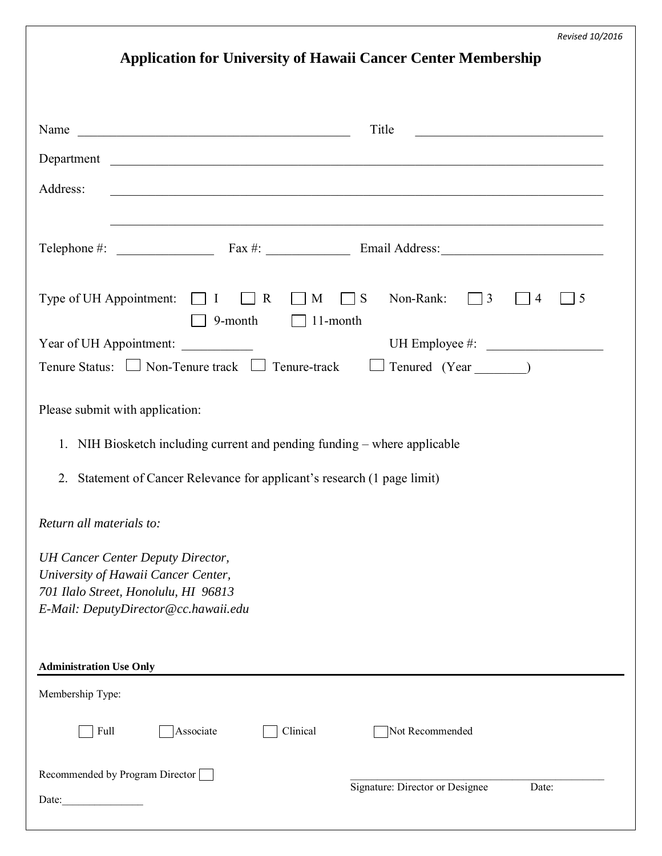|  | <b>Application for University of Hawaii Cancer Center Membership</b> |  |
|--|----------------------------------------------------------------------|--|
|  |                                                                      |  |

|                                                                                                                                                                 | Title<br><u> 1989 - Johann John Stein, mars ar yw 1990 - Amerikan y ddysgwydd y cynnwys y cynnwys y cynnwys y cynnwys y cy</u> |  |  |  |  |
|-----------------------------------------------------------------------------------------------------------------------------------------------------------------|--------------------------------------------------------------------------------------------------------------------------------|--|--|--|--|
| Department                                                                                                                                                      |                                                                                                                                |  |  |  |  |
| Address:<br><u> 1989 - Johann Stoff, amerikansk politiker (d. 1989)</u>                                                                                         |                                                                                                                                |  |  |  |  |
|                                                                                                                                                                 |                                                                                                                                |  |  |  |  |
|                                                                                                                                                                 |                                                                                                                                |  |  |  |  |
| Type of UH Appointment: $\Box I$ R<br>$\Box$ M<br>$\Box$ S<br>9-month<br>$\Box$ 11-month                                                                        | Non-Rank:<br>$\Box$ 3<br>$\overline{4}$<br>5                                                                                   |  |  |  |  |
| UH Employee #:<br>Year of UH Appointment:                                                                                                                       |                                                                                                                                |  |  |  |  |
| Tenure Status: □ Non-Tenure track □ Tenure-track                                                                                                                |                                                                                                                                |  |  |  |  |
| Please submit with application:                                                                                                                                 |                                                                                                                                |  |  |  |  |
| 1. NIH Biosketch including current and pending funding – where applicable                                                                                       |                                                                                                                                |  |  |  |  |
| 2. Statement of Cancer Relevance for applicant's research (1 page limit)                                                                                        |                                                                                                                                |  |  |  |  |
| Return all materials to:                                                                                                                                        |                                                                                                                                |  |  |  |  |
| <b>UH Cancer Center Deputy Director,</b><br>University of Hawaii Cancer Center,<br>701 Ilalo Street, Honolulu, HI 96813<br>E-Mail: DeputyDirector@cc.hawaii.edu |                                                                                                                                |  |  |  |  |
| <b>Administration Use Only</b>                                                                                                                                  |                                                                                                                                |  |  |  |  |
| Membership Type:                                                                                                                                                |                                                                                                                                |  |  |  |  |
| Full<br>Associate<br>Clinical                                                                                                                                   | Not Recommended                                                                                                                |  |  |  |  |
| Recommended by Program Director<br>Date:                                                                                                                        | Signature: Director or Designee<br>Date:                                                                                       |  |  |  |  |
|                                                                                                                                                                 |                                                                                                                                |  |  |  |  |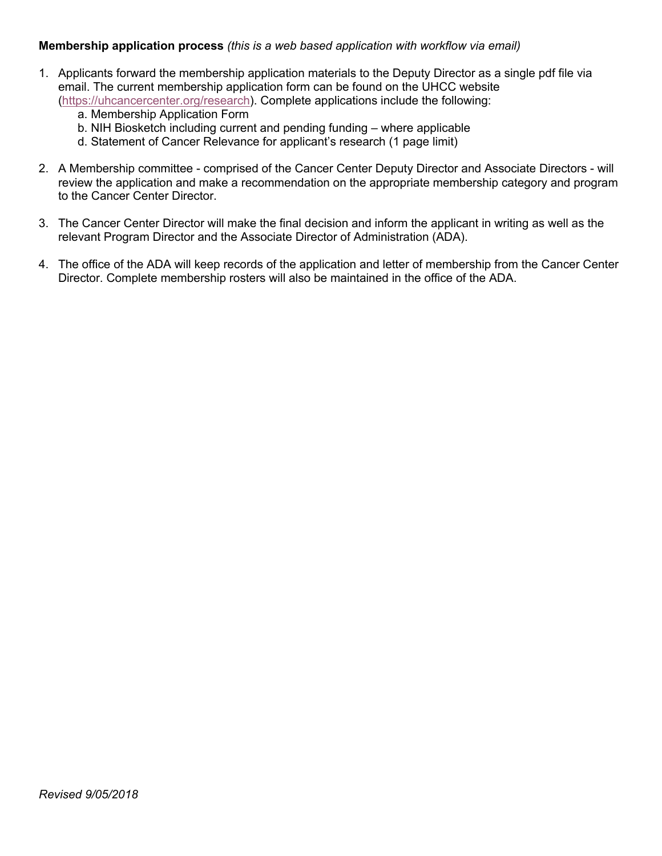## **Membership application process** *(this is a web based application with workflow via email)*

- 1. Applicants forward the membership application materials to the Deputy Director as a single pdf file via email. The current membership application form can be found on the UHCC website (https://uhcancercenter.org/research). Complete applications include the following:
	- a. Membership Application Form
	- b. NIH Biosketch including current and pending funding where applicable
	- d. Statement of Cancer Relevance for applicant's research (1 page limit)
- 2. A Membership committee comprised of the Cancer Center Deputy Director and Associate Directors will review the application and make a recommendation on the appropriate membership category and program to the Cancer Center Director.
- 3. The Cancer Center Director will make the final decision and inform the applicant in writing as well as the relevant Program Director and the Associate Director of Administration (ADA).
- 4. The office of the ADA will keep records of the application and letter of membership from the Cancer Center Director. Complete membership rosters will also be maintained in the office of the ADA.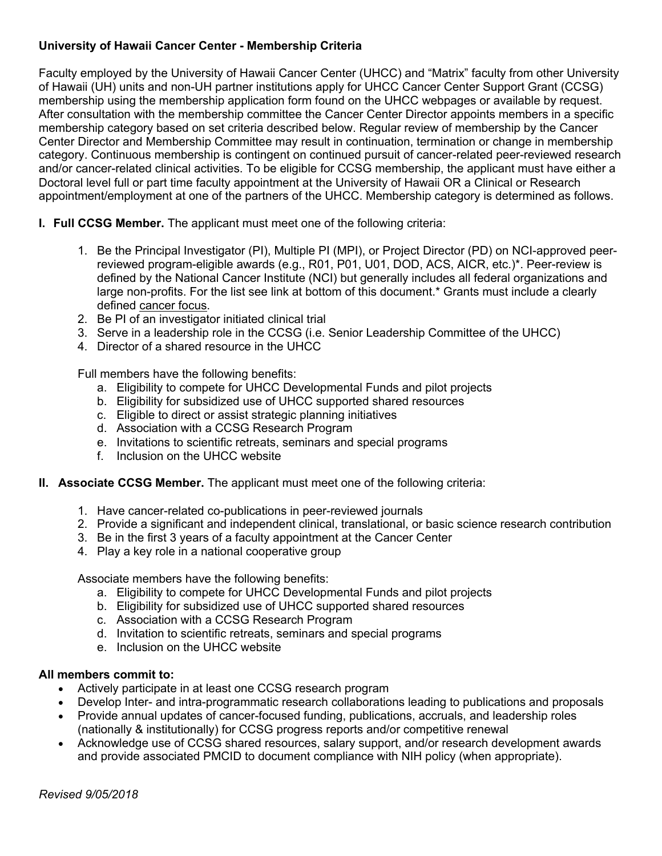## **University of Hawaii Cancer Center - Membership Criteria**

Faculty employed by the University of Hawaii Cancer Center (UHCC) and "Matrix" faculty from other University of Hawaii (UH) units and non-UH partner institutions apply for UHCC Cancer Center Support Grant (CCSG) membership using the membership application form found on the UHCC webpages or available by request. After consultation with the membership committee the Cancer Center Director appoints members in a specific membership category based on set criteria described below. Regular review of membership by the Cancer Center Director and Membership Committee may result in continuation, termination or change in membership category. Continuous membership is contingent on continued pursuit of cancer-related peer-reviewed research and/or cancer-related clinical activities. To be eligible for CCSG membership, the applicant must have either a Doctoral level full or part time faculty appointment at the University of Hawaii OR a Clinical or Research appointment/employment at one of the partners of the UHCC. Membership category is determined as follows.

- **I. Full CCSG Member.** The applicant must meet one of the following criteria:
	- 1. Be the Principal Investigator (PI), Multiple PI (MPI), or Project Director (PD) on NCI-approved peerreviewed program-eligible awards (e.g., R01, P01, U01, DOD, ACS, AICR, etc.)\*. Peer-review is defined by the National Cancer Institute (NCI) but generally includes all federal organizations and large non-profits. For the list see link at bottom of this document.\* Grants must include a clearly defined cancer focus.
	- 2. Be PI of an investigator initiated clinical trial
	- 3. Serve in a leadership role in the CCSG (i.e. Senior Leadership Committee of the UHCC)
	- 4. Director of a shared resource in the UHCC

Full members have the following benefits:

- a. Eligibility to compete for UHCC Developmental Funds and pilot projects
- b. Eligibility for subsidized use of UHCC supported shared resources
- c. Eligible to direct or assist strategic planning initiatives
- d. Association with a CCSG Research Program
- e. Invitations to scientific retreats, seminars and special programs
- f. Inclusion on the UHCC website
- **II. Associate CCSG Member.** The applicant must meet one of the following criteria:
	- 1. Have cancer-related co-publications in peer-reviewed journals
	- 2. Provide a significant and independent clinical, translational, or basic science research contribution
	- 3. Be in the first 3 years of a faculty appointment at the Cancer Center
	- 4. Play a key role in a national cooperative group

Associate members have the following benefits:

- a. Eligibility to compete for UHCC Developmental Funds and pilot projects
- b. Eligibility for subsidized use of UHCC supported shared resources
- c. Association with a CCSG Research Program
- d. Invitation to scientific retreats, seminars and special programs
- e. Inclusion on the UHCC website

## **All members commit to:**

- Actively participate in at least one CCSG research program
- Develop Inter- and intra-programmatic research collaborations leading to publications and proposals
- Provide annual updates of cancer-focused funding, publications, accruals, and leadership roles (nationally & institutionally) for CCSG progress reports and/or competitive renewal
- Acknowledge use of CCSG shared resources, salary support, and/or research development awards and provide associated PMCID to document compliance with NIH policy (when appropriate).